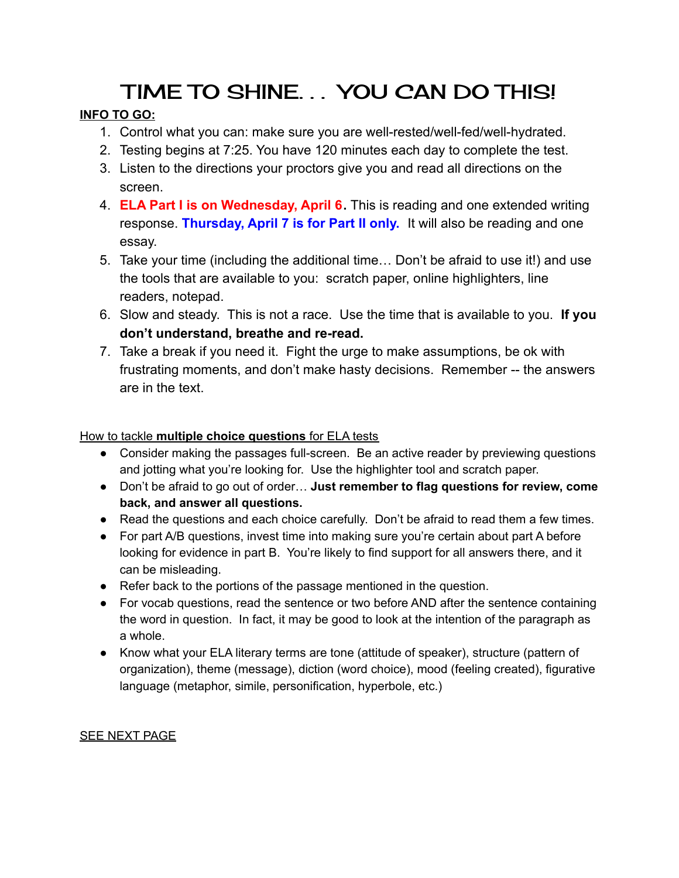# TIME TO SHINE. . . YOU CAN DO THIS!

## **INFO TO GO:**

- 1. Control what you can: make sure you are well-rested/well-fed/well-hydrated.
- 2. Testing begins at 7:25. You have 120 minutes each day to complete the test.
- 3. Listen to the directions your proctors give you and read all directions on the screen.
- 4. **ELA Part I is on Wednesday, April 6.** This is reading and one extended writing response. **Thursday, April 7 is for Part II only.** It will also be reading and one essay.
- 5. Take your time (including the additional time… Don't be afraid to use it!) and use the tools that are available to you: scratch paper, online highlighters, line readers, notepad.
- 6. Slow and steady. This is not a race. Use the time that is available to you. **If you don't understand, breathe and re-read.**
- 7. Take a break if you need it. Fight the urge to make assumptions, be ok with frustrating moments, and don't make hasty decisions. Remember -- the answers are in the text.

#### How to tackle **multiple choice questions** for ELA tests

- Consider making the passages full-screen. Be an active reader by previewing questions and jotting what you're looking for. Use the highlighter tool and scratch paper.
- Don't be afraid to go out of order… **Just remember to flag questions for review, come back, and answer all questions.**
- Read the questions and each choice carefully. Don't be afraid to read them a few times.
- For part A/B questions, invest time into making sure you're certain about part A before looking for evidence in part B. You're likely to find support for all answers there, and it can be misleading.
- Refer back to the portions of the passage mentioned in the question.
- For vocab questions, read the sentence or two before AND after the sentence containing the word in question. In fact, it may be good to look at the intention of the paragraph as a whole.
- Know what your ELA literary terms are tone (attitude of speaker), structure (pattern of organization), theme (message), diction (word choice), mood (feeling created), figurative language (metaphor, simile, personification, hyperbole, etc.)

### SEE NEXT PAGE